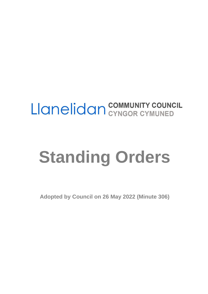# Llanelidan COMMUNITY COUNCIL

# **Standing Orders**

**Adopted by Council on 26 May 2022 (Minute 306)**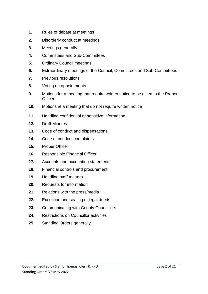- **1.** Rules of debate at meetings
- **2.** Disorderly conduct at meetings
- **3.** Meetings generally
- **4.** Committees and Sub-Committees
- **5.** Ordinary Council meetings
- **6.** Extraordinary meetings of the Council, Committees and Sub-Committees
- **7.** Previous resolutions
- **8.** Voting on appointments
- **9.** Motions for a meeting that require written notice to be given to the Proper **Officer**
- **10.** Motions at a meeting that do not require written notice
- **11.** Handling confidential or sensitive information
- **12.** Draft Minutes
- **13.** Code of conduct and dispensations
- **14.** Code of conduct complaints
- **15.** Proper Officer
- **16.** Responsible Financial Officer
- **17.** Accounts and accounting statements
- **18.** Financial controls and procurement
- **19.** Handling staff matters
- **20.** Requests for information
- **21.** Relations with the press/media
- **22.** Execution and sealing of legal deeds
- **23.** Communicating with County Councillors
- **24.** Restrictions on Councillor activities
- **25.** Standing Orders generally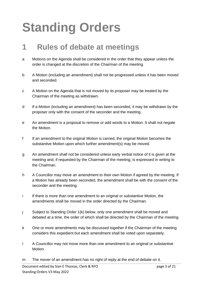## **Standing Orders**

### **1 Rules of debate at meetings**

- a Motions on the Agenda shall be considered in the order that they appear unless the order is changed at the discretion of the Chairman of the meeting.
- b A Motion (including an amendment) shall not be progressed unless it has been moved and seconded.
- c A Motion on the Agenda that is not moved by its proposer may be treated by the Chairman of the meeting as withdrawn.
- d If a Motion (including an amendment) has been seconded, it may be withdrawn by the proposer only with the consent of the seconder and the meeting.
- e An amendment is a proposal to remove or add words to a Motion. It shall not negate the Motion.
- f If an amendment to the original Motion is carried, the original Motion becomes the substantive Motion upon which further amendment(s) may be moved.
- g An amendment shall not be considered unless early verbal notice of it is given at the meeting and, if requested by the Chairman of the meeting, is expressed in writing to the Chairman.
- h A Councillor may move an amendment to their own Motion if agreed by the meeting. If a Motion has already been seconded, the amendment shall be with the consent of the seconder and the meeting.
- i If there is more than one amendment to an original or substantive Motion, the amendments shall be moved in the order directed by the Chairman.
- j Subject to Standing Order 1(k) below, only one amendment shall be moved and debated at a time, the order of which shall be directed by the Chairman of the meeting.
- k One or more amendments may be discussed together if the Chairman of the meeting considers this expedient but each amendment shall be voted upon separately.
- l A Councillor may not move more than one amendment to an original or substantive Motion.
- m The mover of an amendment has no right of reply at the end of debate on it.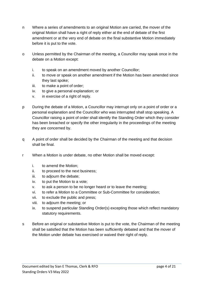- n Where a series of amendments to an original Motion are carried, the mover of the original Motion shall have a right of reply either at the end of debate of the first amendment or at the very end of debate on the final substantive Motion immediately before it is put to the vote.
- o Unless permitted by the Chairman of the meeting, a Councillor may speak once in the debate on a Motion except:
	- i. to speak on an amendment moved by another Councillor;
	- ii. to move or speak on another amendment if the Motion has been amended since they last spoke;
	- iii. to make a point of order;
	- iv. to give a personal explanation; or
	- v. in exercise of a right of reply.
- p During the debate of a Motion, a Councillor may interrupt only on a point of order or a personal explanation and the Councillor who was interrupted shall stop speaking. A Councillor raising a point of order shall identify the Standing Order which they consider has been breached or specify the other irregularity in the proceedings of the meeting they are concerned by.
- q A point of order shall be decided by the Chairman of the meeting and that decision shall be final.
- r When a Motion is under debate, no other Motion shall be moved except:
	- i. to amend the Motion;
	- ii. to proceed to the next business;
	- iii. to adjourn the debate;
	- iv. to put the Motion to a vote;
	- v. to ask a person to be no longer heard or to leave the meeting;
	- vi. to refer a Motion to a Committee or Sub-Committee for consideration;
	- vii. to exclude the public and press;
	- viii. to adjourn the meeting; or
	- ix. to suspend particular Standing Order(s) excepting those which reflect mandatory statutory requirements.
- s Before an original or substantive Motion is put to the vote, the Chairman of the meeting shall be satisfied that the Motion has been sufficiently debated and that the mover of the Motion under debate has exercised or waived their right of reply.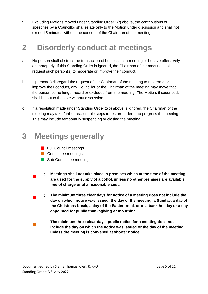t Excluding Motions moved under Standing Order 1(r) above, the contributions or speeches by a Councillor shall relate only to the Motion under discussion and shall not exceed 5 minutes without the consent of the Chairman of the meeting.

### **2 Disorderly conduct at meetings**

- a No person shall obstruct the transaction of business at a meeting or behave offensively or improperly. If this Standing Order is ignored, the Chairman of the meeting shall request such person(s) to moderate or improve their conduct.
- b If person(s) disregard the request of the Chairman of the meeting to moderate or improve their conduct, any Councillor or the Chairman of the meeting may move that the person be no longer heard or excluded from the meeting. The Motion, if seconded, shall be put to the vote without discussion.
- c If a resolution made under Standing Order 2(b) above is ignored, the Chairman of the meeting may take further reasonable steps to restore order or to progress the meeting. This may include temporarily suspending or closing the meeting.

### **3 Meetings generally**

- **Full Council meetings**
- **Committee meetings**
- Sub-Committee meetings
- $\blacksquare$ a **Meetings shall not take place in premises which at the time of the meeting are used for the supply of alcohol, unless no other premises are available free of charge or at a reasonable cost.**
- $\mathcal{L}_{\mathcal{A}}$ b **The minimum three clear days for notice of a meeting does not include the day on which notice was issued, the day of the meeting, a Sunday, a day of the Christmas break, a day of the Easter break or of a bank holiday or a day appointed for public thanksgiving or mourning.**
- $\mathcal{L}_{\mathcal{A}}$ c **The minimum three clear days' public notice for a meeting does not include the day on which the notice was issued or the day of the meeting unless the meeting is convened at shorter notice**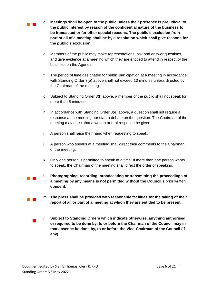$\mathcal{L}^{\text{max}}$ 

 $\mathbb{R}^n$  .

- d **Meetings shall be open to the public unless their presence is prejudicial to the public interest by reason of the confidential nature of the business to be transacted or for other special reasons. The public's exclusion from part or all of a meeting shall be by a resolution which shall give reasons for the public's exclusion.**
- e Members of the public may make representations, ask and answer questions, and give evidence at a meeting which they are entitled to attend in respect of the business on the Agenda.
- f The period of time designated for public participation at a meeting in accordance with Standing Order 3(e) above shall not exceed 10 minutes unless directed by the Chairman of the meeting.
- g Subject to Standing Order 3(f) above, a member of the public shall not speak for more than 5 minutes.
- h In accordance with Standing Order 3(e) above, a question shall not require a response at the meeting nor start a debate on the question. The Chairman of the meeting may direct that a written or oral response be given.
- i A person shall raise their hand when requesting to speak.
- j A person who speaks at a meeting shall direct their comments to the Chairman of the meeting.
- k Only one person is permitted to speak at a time. If more than one person wants to speak, the Chairman of the meeting shall direct the order of speaking.
- $\mathcal{L}^{\text{max}}$ l **Photographing, recording, broadcasting or transmitting the proceedings of a meeting by any means is not permitted without the Council's** prior written **consent**.
	- m **The press shall be provided with reasonable facilities for the taking of their report of all or part of a meeting at which they are entitled to be present**.
	- $\blacksquare$ n **Subject to Standing Orders which indicate otherwise, anything authorised or required to be done by, to or before the Chairman of the Council may in that absence be done by, to or before the Vice-Chairman of the Council (if any).**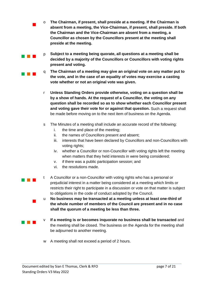- o **The Chairman, if present, shall preside at a meeting. If the Chairman is absent from a meeting, the Vice-Chairman, if present, shall preside. If both the Chairman and the Vice-Chairman are absent from a meeting, a Councillor as chosen by the Councillors present at the meeting shall preside at the meeting.**
- p **Subject to a meeting being quorate, all questions at a meeting shall be decided by a majority of the Councillors or Councillors with voting rights present and voting.**
- q **The Chairman of a meeting may give an original vote on any matter put to the vote, and in the case of an equality of votes may exercise a casting vote whether or not an original vote was given.**
- r **Unless Standing Orders provide otherwise, voting on a question shall be by a show of hands. At the request of a Councillor, the voting on any question shall be recorded so as to show whether each Councillor present and voting gave their vote for or against that question.** Such a request shall be made before moving on to the next item of business on the Agenda.
- s The Minutes of a meeting shall include an accurate record of the following:
	- i. the time and place of the meeting;
	- ii. the names of Councillors present and absent;
	- iii. interests that have been declared by Councillors and non-Councillors with voting rights;
	- iv. whether a Councillor or non-Councillor with voting rights left the meeting when matters that they held interests in were being considered;
	- v. if there was a public participation session; and
	- vi. the resolutions made.

 $\blacksquare$ 

 $\sim 10^{-1}$ 

a ka

 $\blacksquare$ 

 $\sim 10^{-1}$ 

- $\sim 10^{-1}$ t A Councillor or a non-Councillor with voting rights who has a personal or prejudicial interest in a matter being considered at a meeting which limits or restricts their right to participate in a discussion or vote on that matter is subject to obligations in the code of conduct adopted by the Council.
	- u **No business may be transacted at a meeting unless at least one-third of the whole number of members of the Council are present and in no case shall the quorum of a meeting be less than three.**
	- v **If a meeting is or becomes inquorate no business shall be transacted** and the meeting shall be closed. The business on the Agenda for the meeting shall be adjourned to another meeting.
		- w A meeting shall not exceed a period of 2 hours.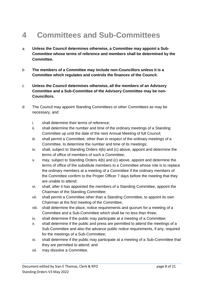### **4 Committees and Sub-Committees**

- a **Unless the Council determines otherwise, a Committee may appoint a Sub-Committee whose terms of reference and members shall be determined by the Committee.**
- b **The members of a Committee may include non-Councillors unless it is a Committee which regulates and controls the finances of the Council.**
- c **Unless the Council determines otherwise, all the members of an Advisory Committee and a Sub-Committee of the Advisory Committee may be non-Councillors.**
- d The Council may appoint Standing Committees or other Committees as may be necessary, and:
	- i. shall determine their terms of reference;
	- ii. shall determine the number and time of the ordinary meetings of a Standing Committee up until the date of the next Annual Meeting of full Council;
	- iii. shall permit a Committee, other than in respect of the ordinary meetings of a Committee, to determine the number and time of its meetings;
	- iv. shall, subject to Standing Orders 4(b) and (c) above, appoint and determine the terms of office of members of such a Committee;
	- v. may, subject to Standing Orders 4(b) and (c) above, appoint and determine the terms of office of the substitute members to a Committee whose role is to replace the ordinary members at a meeting of a Committee if the ordinary members of the Committee confirm to the Proper Officer 7 days before the meeting that they are unable to attend;
	- vi. shall, after it has appointed the members of a Standing Committee, appoint the Chairman of the Standing Committee;
	- vii. shall permit a Committee other than a Standing Committee, to appoint its own Chairman at the first meeting of the Committee;
	- viii. shall determine the place, notice requirements and quorum for a meeting of a Committee and a Sub-Committee which shall be no less than three;
	- ix. shall determine if the public may participate at a meeting of a Committee;
	- x. shall determine if the public and press are permitted to attend the meetings of a Sub-Committee and also the advance public notice requirements, if any, required for the meetings of a Sub-Committee;
	- xi. shall determine if the public may participate at a meeting of a Sub-Committee that they are permitted to attend; and
	- xii. may dissolve a Committee.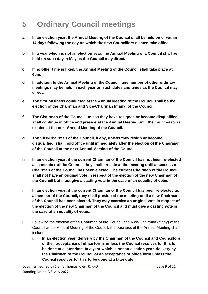### **5 Ordinary Council meetings**

- **a In an election year, the Annual Meeting of the Council shall be held on or within 14 days following the day on which the new Councillors elected take office.**
- **b In a year which is not an election year, the Annual Meeting of a Council shall be held on such day in May as the Council may direct.**
- **c If no other time is fixed, the Annual Meeting of the Council shall take place at 6pm.**
- **d In addition to the Annual Meeting of the Council, any number of other ordinary meetings may be held in each year on such dates and times as the Council may direct.**
- **e The first business conducted at the Annual Meeting of the Council shall be the election of the Chairman and Vice-Chairman (if any) of the Council.**
- **f The Chairman of the Council, unless they have resigned or become disqualified, shall continue in office and preside at the Annual Meeting until their successor is elected at the next Annual Meeting of the Council.**
- **g The Vice-Chairman of the Council, if any, unless they resign or become disqualified, shall hold office until immediately after the election of the Chairman of the Council at the next Annual Meeting of the Council.**
- **h In an election year, if the current Chairman of the Council has not been re-elected as a member of the Council, they shall preside at the meeting until a successor Chairman of the Council has been elected. The current Chairman of the Council shall not have an original vote in respect of the election of the new Chairman of the Council but must give a casting vote in the case of an equality of votes.**
- **i In an election year, if the current Chairman of the Council has been re-elected as a member of the Council, they shall preside at the meeting until a new Chairman of the Council has been elected. They may exercise an original vote in respect of the election of the new Chairman of the Council and must give a casting vote in the case of an equality of votes.**
- j Following the election of the Chairman of the Council and Vice-Chairman (if any) of the Council at the Annual Meeting of the Council, the business of the Annual Meeting shall include:
	- i. **In an election year, delivery by the Chairman of the Council and Councillors of their acceptance of office forms unless the Council resolves for this to be done at a later date**. **In a year which is not an election year, delivery by the Chairman of the Council of an acceptance of office form unless the Council resolves for this to be done at a later date;**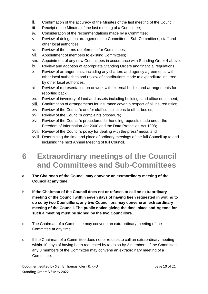- ii. Confirmation of the accuracy of the Minutes of the last meeting of the Council;
- iii. Receipt of the Minutes of the last meeting of a Committee;
- iv. Consideration of the recommendations made by a Committee;
- v. Review of delegation arrangements to Committees, Sub-Committees, staff and other local authorities;
- vi. Review of the terms of reference for Committees;
- vii. Appointment of members to existing Committees;
- viii. Appointment of any new Committees in accordance with Standing Order 4 above;
- ix. Review and adoption of appropriate Standing Orders and financial regulations;
- x. Review of arrangements, including any charters and agency agreements, with other local authorities and review of contributions made to expenditure incurred by other local authorities;
- xi. Review of representation on or work with external bodies and arrangements for reporting back;
- xii. Review of inventory of land and assets including buildings and office equipment;
- xiii. Confirmation of arrangements for insurance cover in respect of all insured risks;
- xiv. Review of the Council's and/or staff subscriptions to other bodies;
- xv. Review of the Council's complaints procedure;
- xvi. Review of the Council's procedures for handling requests made under the Freedom of Information Act 2000 and the Data Protection Act 1998;
- xvii. Review of the Council's policy for dealing with the press/media; and
- xviii. Determining the time and place of ordinary meetings of the full Council up to and including the next Annual Meeting of full Council.
- **6 Extraordinary meetings of the Council and Committees and Sub-Committees**
- **a The Chairman of the Council may convene an extraordinary meeting of the Council at any time.**
- b **If the Chairman of the Council does not or refuses to call an extraordinary meeting of the Council within seven days of having been requested in writing to do so by two Councillors, any two Councillors may convene an extraordinary meeting of the Council. The public notice giving the time, place and Agenda for such a meeting must be signed by the two Councillors.**
- c The Chairman of a Committee may convene an extraordinary meeting of the Committee at any time.
- d If the Chairman of a Committee does not or refuses to call an extraordinary meeting within 10 days of having been requested by to do so by 3 members of the Committee, any 3 members of the Committee may convene an extraordinary meeting of a Committee.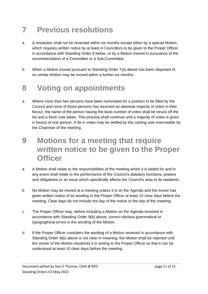### **7 Previous resolutions**

- a A resolution shall not be reversed within six months except either by a special Motion, which requires written notice by at least 4 Councillors to be given to the Proper Officer in accordance with Standing Order 9 below, or by a Motion moved in pursuance of the recommendation of a Committee or a Sub-Committee.
- b When a Motion moved pursuant to Standing Order 7(a) above has been disposed of, no similar Motion may be moved within a further six months.

### **8 Voting on appointments**

- a Where more than two persons have been nominated for a position to be filled by the Council and none of those persons has received an absolute majority of votes in their favour, the name of the person having the least number of votes shall be struck off the list and a fresh vote taken. This process shall continue until a majority of votes is given in favour of one person. A tie in votes may be settled by the casting vote exercisable by the Chairman of the meeting.
- **9 Motions for a meeting that require written notice to be given to the Proper Officer**
- a A Motion shall relate to the responsibilities of the meeting which it is tabled for and in any event shall relate to the performance of the Council's statutory functions, powers and obligations or an issue which specifically affects the Council's area or its residents.
- b No Motion may be moved at a meeting unless it is on the Agenda and the mover has given written notice of its wording to the Proper Officer at least 10 clear days before the meeting. Clear days do not include the day of the notice or the day of the meeting.
- c The Proper Officer may, before including a Motion on the Agenda received in accordance with Standing Order 9(b) above, correct obvious grammatical or typographical errors in the wording of the Motion.
- d If the Proper Officer considers the wording of a Motion received in accordance with Standing Order 9(b) above is not clear in meaning, the Motion shall be rejected until the mover of the Motion resubmits it in writing to the Proper Officer so that it can be understood at least 10 clear days before the meeting.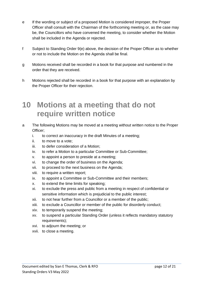- e If the wording or subject of a proposed Motion is considered improper, the Proper Officer shall consult with the Chairman of the forthcoming meeting or, as the case may be, the Councillors who have convened the meeting, to consider whether the Motion shall be included in the Agenda or rejected.
- f Subject to Standing Order 9(e) above, the decision of the Proper Officer as to whether or not to include the Motion on the Agenda shall be final.
- g Motions received shall be recorded in a book for that purpose and numbered in the order that they are received.
- h Motions rejected shall be recorded in a book for that purpose with an explanation by the Proper Officer for their rejection.

### **10 Motions at a meeting that do not require written notice**

- a The following Motions may be moved at a meeting without written notice to the Proper Officer;
	- i. to correct an inaccuracy in the draft Minutes of a meeting;
	- ii. to move to a vote;
	- iii. to defer consideration of a Motion;
	- iv. to refer a Motion to a particular Committee or Sub-Committee;
	- v. to appoint a person to preside at a meeting;
	- vi. to change the order of business on the Agenda;
	- vii. to proceed to the next business on the Agenda;
	- viii. to require a written report;
	- ix. to appoint a Committee or Sub-Committee and their members;
	- x. to extend the time limits for speaking;
	- xi. to exclude the press and public from a meeting in respect of confidential or sensitive information which is prejudicial to the public interest;
	- xii. to not hear further from a Councillor or a member of the public;
	- xiii. to exclude a Councillor or member of the public for disorderly conduct;
	- xiv. to temporarily suspend the meeting;
	- xv. to suspend a particular Standing Order (unless it reflects mandatory statutory requirements);
	- xvi. to adjourn the meeting; or
	- xvii. to close a meeting.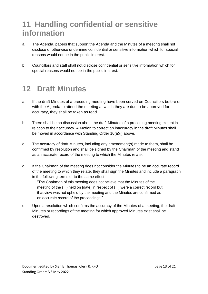### **11 Handling confidential or sensitive information**

- a The Agenda, papers that support the Agenda and the Minutes of a meeting shall not disclose or otherwise undermine confidential or sensitive information which for special reasons would not be in the public interest.
- b Councillors and staff shall not disclose confidential or sensitive information which for special reasons would not be in the public interest.

### **12 Draft Minutes**

- a If the draft Minutes of a preceding meeting have been served on Councillors before or with the Agenda to attend the meeting at which they are due to be approved for accuracy, they shall be taken as read.
- b There shall be no discussion about the draft Minutes of a preceding meeting except in relation to their accuracy. A Motion to correct an inaccuracy in the draft Minutes shall be moved in accordance with Standing Order 10(a)(i) above.
- c The accuracy of draft Minutes, including any amendment(s) made to them, shall be confirmed by resolution and shall be signed by the Chairman of the meeting and stand as an accurate record of the meeting to which the Minutes relate.
- d If the Chairman of the meeting does not consider the Minutes to be an accurate record of the meeting to which they relate, they shall sign the Minutes and include a paragraph in the following terms or to the same effect:

"The Chairman of this meeting does not believe that the Minutes of the meeting of the ( ) held on [date] in respect of ( ) were a correct record but that view was not upheld by the meeting and the Minutes are confirmed as an accurate record of the proceedings."

e Upon a resolution which confirms the accuracy of the Minutes of a meeting, the draft Minutes or recordings of the meeting for which approved Minutes exist shall be destroyed.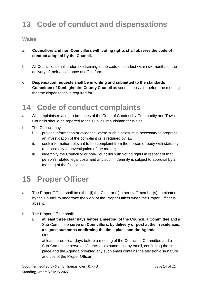### **13 Code of conduct and dispensations**

#### **Wales**

- **a Councillors and non-Councillors with voting rights shall observe the code of conduct adopted by the Council.**
- b All Councillors shall undertake training in the code of conduct within six months of the delivery of their acceptance of office form.
- c **Dispensation requests shall be in writing and submitted to the standards Committee of Denbighshire County Council** as soon as possible before the meeting that the dispensation is required for.

### **14 Code of conduct complaints**

- a All complaints relating to breaches of the Code of Conduct by Community and Town Councils should be reported to the Public Ombudsman for Wales
- b The Council may:
	- i. provide information or evidence where such disclosure is necessary to progress an investigation of the complaint or is required by law;
	- ii. seek information relevant to the complaint from the person or body with statutory responsibility for investigation of the matter;
	- iii. indemnify the Councillor or non-Councillor with voting rights in respect of that person's related legal costs and any such indemnity is subject to approval by a meeting of the full Council.

### **15 Proper Officer**

- a The Proper Officer shall be either (i) the Clerk or (ii) other staff member(s) nominated by the Council to undertake the work of the Proper Officer when the Proper Officer is absent.
- b The Proper Officer shall:
	- i. **at least three clear days before a meeting of the Council, a Committee** and a Sub-Committee **serve on Councillors, by delivery or post at their residences, a signed summons confirming the time, place and the Agenda.** OR

at least three clear days before a meeting of the Council, a Committee and a Sub-Committee serve on Councillors a summons, by email, confirming the time, place and the Agenda provided any such email contains the electronic signature and title of the Proper Officer.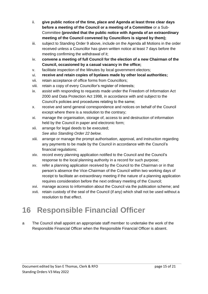- ii. **give public notice of the time, place and Agenda at least three clear days before a meeting of the Council or a meeting of a Committee** or a Sub-Committee **(provided that the public notice with Agenda of an extraordinary meeting of the Council convened by Councillors is signed by them);**
- iii. subject to Standing Order 9 above, include on the Agenda all Motions in the order received unless a Councillor has given written notice at least 7 days before the meeting confirming the withdrawal of it;
- iv. **convene a meeting of full Council for the election of a new Chairman of the Council, occasioned by a casual vacancy in the office;**
- v. facilitate inspection of the Minutes by local government electors;
- vi. **receive and retain copies of byelaws made by other local authorities;**
- vii. retain acceptance of office forms from Councillors;
- viii. retain a copy of every Councillor's register of interests;
- ix. assist with responding to requests made under the Freedom of Information Act 2000 and Data Protection Act 1998, in accordance with and subject to the Council's policies and procedures relating to the same;
- x. receive and send general correspondence and notices on behalf of the Council except where there is a resolution to the contrary;
- xi. manage the organisation, storage of, access to and destruction of information held by the Council in paper and electronic form;
- xii. arrange for legal deeds to be executed; *See also Standing Order 22 below.*
- xiii. arrange or manage the prompt authorisation, approval, and instruction regarding any payments to be made by the Council in accordance with the Council's financial regulations;
- xiv. record every planning application notified to the Council and the Council's response to the local planning authority in a record for such purpose;
- xv. refer a planning application received by the Council to the Chairman or in that person's absence the Vice-Chairman of the Council within two working days of receipt to facilitate an extraordinary meeting if the nature of a planning application requires consideration before the next ordinary meeting of the Council;
- xvi. manage access to information about the Council via the publication scheme; and
- xvii. retain custody of the seal of the Council (if any) which shall not be used without a resolution to that effect.

### **16 Responsible Financial Officer**

a The Council shall appoint an appropriate staff member to undertake the work of the Responsible Financial Officer when the Responsible Financial Officer is absent.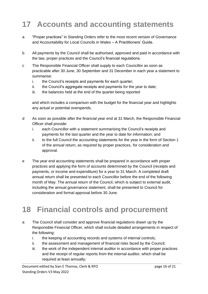### **17 Accounts and accounting statements**

- a "Proper practices" in Standing Orders refer to the most recent version of Governance and Accountability for Local Councils in Wales – A Practitioners' Guide.
- b All payments by the Council shall be authorised, approved and paid in accordance with the law, proper practices and the Council's financial regulations.
- c The Responsible Financial Officer shall supply to each Councillor as soon as practicable after 30 June, 30 September and 31 December in each year a statement to summarise:
	- i. the Council's receipts and payments for each quarter;
	- ii. the Council's aggregate receipts and payments for the year to date;
	- iii. the balances held at the end of the quarter being reported

and which includes a comparison with the budget for the financial year and highlights any actual or potential overspends.

- d As soon as possible after the financial year end at 31 March, the Responsible Financial Officer shall provide:
	- i. each Councillor with a statement summarising the Council's receipts and payments for the last quarter and the year to date for information; and
	- ii. to the full Council the accounting statements for the year in the form of Section 1 of the annual return, as required by proper practices, for consideration and approval.
- e The year end accounting statements shall be prepared in accordance with proper practices and applying the form of accounts determined by the Council (receipts and payments, or income and expenditure) for a year to 31 March. A completed draft annual return shall be presented to each Councillor before the end of the following month of May. The annual return of the Council, which is subject to external audit, including the annual governance statement, shall be presented to Council for consideration and formal approval before 30 June.

### **18 Financial controls and procurement**

- a The Council shall consider and approve financial regulations drawn up by the Responsible Financial Officer, which shall include detailed arrangements in respect of the following:
	- i. the keeping of accounting records and systems of internal controls;
	- ii. the assessment and management of financial risks faced by the Council;
	- iii. the work of the independent internal auditor in accordance with proper practices and the receipt of regular reports from the internal auditor, which shall be required at least annually;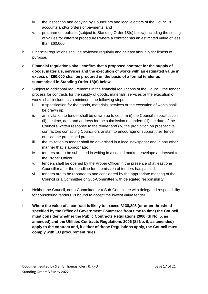- iv. the inspection and copying by Councillors and local electors of the Council's accounts and/or orders of payments; and
- v. procurement policies (subject to Standing Order 18(c) below) including the setting of values for different procedures where a contract has an estimated value of less than £60,000.
- b Financial regulations shall be reviewed regularly and at least annually for fitness of purpose.
- c **Financial regulations shall confirm that a proposed contract for the supply of goods, materials, services and the execution of works with an estimated value in excess of £60,000 shall be procured on the basis of a formal tender as summarised in Standing Order 18(d) below.**
- d Subject to additional requirements in the financial regulations of the Council, the tender process for contracts for the supply of goods, materials, services or the execution of works shall include, as a minimum, the following steps:
	- i. a specification for the goods, materials, services or the execution of works shall be drawn up;
	- ii. an invitation to tender shall be drawn up to confirm (i) the Council's specification (ii) the time, date and address for the submission of tenders (iii) the date of the Council's written response to the tender and (iv) the prohibition on prospective contractors contacting Councillors or staff to encourage or support their tender outside the prescribed process;
	- iii. the invitation to tender shall be advertised in a local newspaper and in any other manner that is appropriate;
	- iv. tenders are to be submitted in writing in a sealed marked envelope addressed to the Proper Officer;
	- v. tenders shall be opened by the Proper Officer in the presence of at least one Councillor after the deadline for submission of tenders has passed;
	- vi. tenders are to be reported to and considered by the appropriate meeting of the Council or a Committee or Sub-Committee with delegated responsibility.
- e Neither the Council, nor a Committee or a Sub-Committee with delegated responsibility for considering tenders, is bound to accept the lowest value tender.
- f **Where the value of a contract is likely to exceed £138,893 (or other threshold specified by the Office of Government Commerce from time to time) the Council must consider whether the Public Contracts Regulations 2006 (SI No. 5, as amended) and the Utilities Contracts Regulations 2006 (SI No. 6, as amended) apply to the contract and, if either of those Regulations apply, the Council must comply with EU procurement rules.**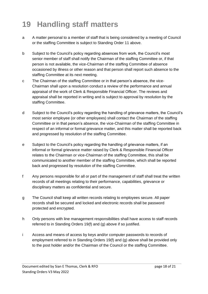### **19 Handling staff matters**

- a A matter personal to a member of staff that is being considered by a meeting of Council or the staffing Committee is subject to Standing Order 11 above.
- b Subject to the Council's policy regarding absences from work, the Council's most senior member of staff shall notify the Chairman of the staffing Committee or, if that person is not available, the vice-Chairman of the staffing Committee of absence occasioned by illness or other reason and that person shall report such absence to the staffing Committee at its next meeting.
- c The Chairman of the staffing Committee or in that person's absence, the vice-Chairman shall upon a resolution conduct a review of the performance and annual appraisal of the work of Clerk & Responsible Financial Officer. The reviews and appraisal shall be reported in writing and is subject to approval by resolution by the staffing Committee.
- d Subject to the Council's policy regarding the handling of grievance matters, the Council's most senior employee (or other employees) shall contact the Chairman of the staffing Committee or in that person's absence, the vice-Chairman of the staffing Committee in respect of an informal or formal grievance matter, and this matter shall be reported back and progressed by resolution of the staffing Committee.
- e Subject to the Council's policy regarding the handling of grievance matters, if an informal or formal grievance matter raised by Clerk & Responsible Financial Officer relates to the Chairman or vice-Chairman of the staffing Committee, this shall be communicated to another member of the staffing Committee, which shall be reported back and progressed by resolution of the staffing Committee.
- f Any persons responsible for all or part of the management of staff shall treat the written records of all meetings relating to their performance, capabilities, grievance or disciplinary matters as confidential and secure.
- g The Council shall keep all written records relating to employees secure. All paper records shall be secured and locked and electronic records shall be password protected and encrypted.
- h Only persons with line management responsibilities shall have access to staff records referred to in Standing Orders 19(f) and (g) above if so justified.
- i Access and means of access by keys and/or computer passwords to records of employment referred to in Standing Orders 19(f) and (g) above shall be provided only to the post holder and/or the Chairman of the Council or the staffing Committee.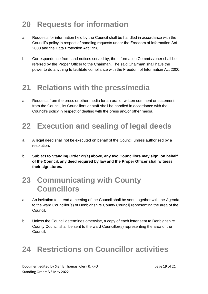### **20 Requests for information**

- a Requests for information held by the Council shall be handled in accordance with the Council's policy in respect of handling requests under the Freedom of Information Act 2000 and the Data Protection Act 1998.
- b Correspondence from, and notices served by, the Information Commissioner shall be referred by the Proper Officer to the Chairman. The said Chairman shall have the power to do anything to facilitate compliance with the Freedom of Information Act 2000.

### **21 Relations with the press/media**

a Requests from the press or other media for an oral or written comment or statement from the Council, its Councillors or staff shall be handled in accordance with the Council's policy in respect of dealing with the press and/or other media.

### **22 Execution and sealing of legal deeds**

- a A legal deed shall not be executed on behalf of the Council unless authorised by a resolution.
- b **Subject to Standing Order 22(a) above, any two Councillors may sign, on behalf of the Council, any deed required by law and the Proper Officer shall witness their signatures.**

### **23 Communicating with County Councillors**

- a An invitation to attend a meeting of the Council shall be sent, together with the Agenda, to the ward Councillor(s) of Denbighshire County Council] representing the area of the Council.
- b Unless the Council determines otherwise, a copy of each letter sent to Denbighshire County Council shall be sent to the ward Councillor(s) representing the area of the Council.

### **24 Restrictions on Councillor activities**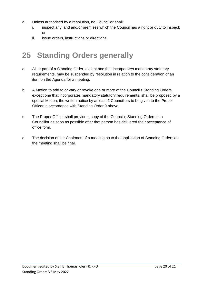- a. Unless authorised by a resolution, no Councillor shall:
	- i. inspect any land and/or premises which the Council has a right or duty to inspect; or
	- ii. issue orders, instructions or directions.

### **25 Standing Orders generally**

- a All or part of a Standing Order, except one that incorporates mandatory statutory requirements, may be suspended by resolution in relation to the consideration of an item on the Agenda for a meeting.
- b A Motion to add to or vary or revoke one or more of the Council's Standing Orders, except one that incorporates mandatory statutory requirements, shall be proposed by a special Motion, the written notice by at least 2 Councillors to be given to the Proper Officer in accordance with Standing Order 9 above.
- c The Proper Officer shall provide a copy of the Council's Standing Orders to a Councillor as soon as possible after that person has delivered their acceptance of office form.
- d The decision of the Chairman of a meeting as to the application of Standing Orders at the meeting shall be final.